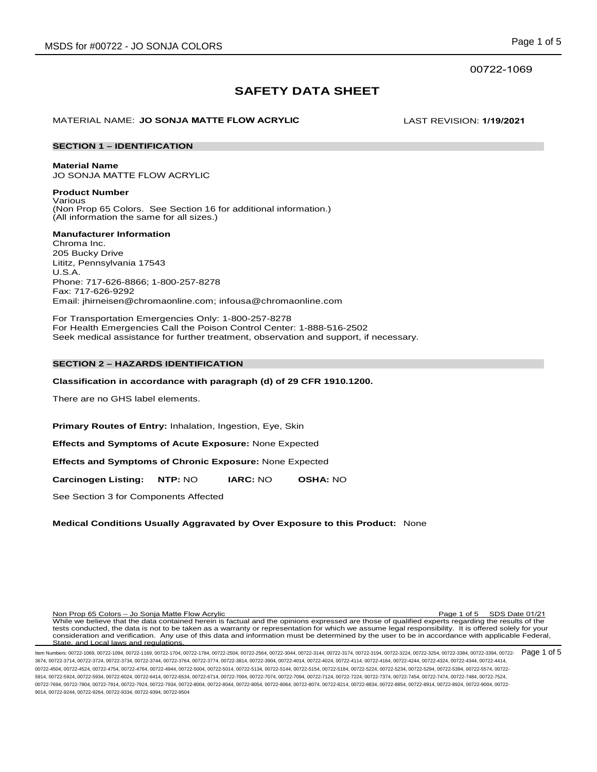# **SAFETY DATA SHEET**

# MATERIAL NAME: **JO SONJA MATTE FLOW ACRYLIC** LAST REVISION: **1/19/2021**

# **SECTION 1 – IDENTIFICATION**

**Material Name**

JO SONJA MATTE FLOW ACRYLIC

**Product Number** Various (Non Prop 65 Colors. See Section 16 for additional information.) (All information the same for all sizes.)

# **Manufacturer Information**

Chroma Inc. 205 Bucky Drive Lititz, Pennsylvania 17543 U.S.A. Phone: 717-626-8866; 1-800-257-8278 Fax: 717-626-9292 Email: jhirneisen@chromaonline.com; infousa@chromaonline.com

For Transportation Emergencies Only: 1-800-257-8278 For Health Emergencies Call the Poison Control Center: 1-888-516-2502 Seek medical assistance for further treatment, observation and support, if necessary.

# **SECTION 2 – HAZARDS IDENTIFICATION**

# **Classification in accordance with paragraph (d) of 29 CFR 1910.1200.**

There are no GHS label elements.

**Primary Routes of Entry:** Inhalation, Ingestion, Eye, Skin

**Effects and Symptoms of Acute Exposure:** None Expected

**Effects and Symptoms of Chronic Exposure:** None Expected

**Carcinogen Listing: NTP:** NO **IARC:** NO **OSHA:** NO

See Section 3 for Components Affected

# **Medical Conditions Usually Aggravated by Over Exposure to this Product:** None

Non Prop 65 Colors – Jo Sonja Matte Flow Acrylic Page 1 of 5 SDS Date 01/21 While we believe that the data contained herein is factual and the opinions expressed are those of qualified experts regarding the results of the tests conducted, the data is not to be taken as a warranty or representation for which we assume legal responsibility. It is offered solely for your consideration and verification. Any use of this data and information must be determined by the user to be in accordance with applicable Federal, State, and Local laws and regulations.

ltem Numbers: 00722-1069, 00722-1094, 00722-1169, 00722-1704, 00722-1784, 00722-2504, 00722-2564, 00722-3144, 00722-3144, 00722-3144, 00722-3194, 00722-3224, 00722-3254, 00722-3384, 00722-3394, 00722-3384, 00722-3384, 0072 3674, 00722-3714, 00722-3724, 00722-3734, 00722-3744, 00722-3764, 00722-3774, 00722-3814, 00722-3904, 00722-4014, 00722-4024, 00722-4114, 00722-4164, 00722-4244, 00722-4324, 00722-4344, 00722-4414, 00722-4504, 00722-4524, 00722-4754, 00722-4764, 00722-4944, 00722-5004, 00722-5014, 00722-5134, 00722-5144, 00722-5154, 00722-5184, 00722-5224, 00722-5234, 00722-5294, 00722-5394, 00722-5574, 00722- 5914, 00722-5924, 00722-5934, 00722-6024, 00722-6414, 00722-6534, 00722-6714, 00722-7004, 00722-7074, 00722-7094, 00722-7124, 00722-7224, 00722-7374, 00722-7454, 00722-7474, 00722-7484, 00722-7524, 00722-7694, 00722-7804, 00722-7914, 00722-7924, 00722-7934, 00722-8004, 00722-8044, 00722-8054, 00722-8064, 00722-8074, 00722-8214, 00722-8834, 00722-8854, 00722-8914, 00722-8924, 00722-9004, 00722- 9014, 00722-9244, 00722-9264, 00722-9334, 00722-9394, 00722-9504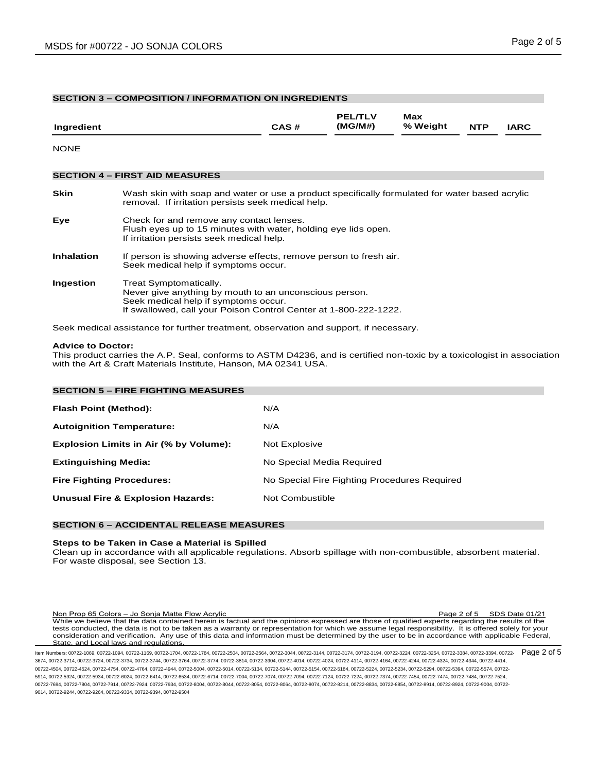# **SECTION 3 – COMPOSITION / INFORMATION ON INGREDIENTS**

| Ingredient        |                                                                                                                                                                                              | CAS# | <b>PEL/TLV</b><br>(MG/M#) | Max<br>% Weight | <b>NTP</b> | <b>IARC</b> |
|-------------------|----------------------------------------------------------------------------------------------------------------------------------------------------------------------------------------------|------|---------------------------|-----------------|------------|-------------|
| <b>NONE</b>       |                                                                                                                                                                                              |      |                           |                 |            |             |
|                   | <b>SECTION 4 - FIRST AID MEASURES</b>                                                                                                                                                        |      |                           |                 |            |             |
| <b>Skin</b>       | Wash skin with soap and water or use a product specifically formulated for water based acrylic<br>removal. If irritation persists seek medical help.                                         |      |                           |                 |            |             |
| Eye               | Check for and remove any contact lenses.<br>Flush eyes up to 15 minutes with water, holding eye lids open.<br>If irritation persists seek medical help.                                      |      |                           |                 |            |             |
| <b>Inhalation</b> | If person is showing adverse effects, remove person to fresh air.<br>Seek medical help if symptoms occur.                                                                                    |      |                           |                 |            |             |
| Ingestion         | Treat Symptomatically.<br>Never give anything by mouth to an unconscious person.<br>Seek medical help if symptoms occur.<br>If swallowed, call your Poison Control Center at 1-800-222-1222. |      |                           |                 |            |             |

Seek medical assistance for further treatment, observation and support, if necessary.

#### **Advice to Doctor:**

This product carries the A.P. Seal, conforms to ASTM D4236, and is certified non-toxic by a toxicologist in association with the Art & Craft Materials Institute, Hanson, MA 02341 USA.

| <b>SECTION 5 - FIRE FIGHTING MEASURES</b>    |  |  |  |  |  |
|----------------------------------------------|--|--|--|--|--|
| N/A                                          |  |  |  |  |  |
| N/A                                          |  |  |  |  |  |
| Not Explosive                                |  |  |  |  |  |
| No Special Media Required                    |  |  |  |  |  |
| No Special Fire Fighting Procedures Required |  |  |  |  |  |
| Not Combustible                              |  |  |  |  |  |
|                                              |  |  |  |  |  |

# **SECTION 6 – ACCIDENTAL RELEASE MEASURES**

#### **Steps to be Taken in Case a Material is Spilled**

Clean up in accordance with all applicable regulations. Absorb spillage with non-combustible, absorbent material. For waste disposal, see Section 13.

Non Prop 65 Colors – Jo Sonja Matte Flow Acrylic Page 2 of 5 SDS Date 01/21 While we believe that the data contained herein is factual and the opinions expressed are those of qualified experts regarding the results of the tests conducted, the data is not to be taken as a warranty or representation for which we assume legal responsibility. It is offered solely for your consideration and verification. Any use of this data and information must be determined by the user to be in accordance with applicable Federal, State, and Local laws and regulations

ltem Numbers: 00722-1069, 00722-1094, 00722-1169, 00722-1704, 00722-1784, 00722-2504, 00722-2564, 00722-3144, 00722-3144, 00722-3144, 00722-3124, 00722-3224, 00722-3254, 00722-3384, 00722-3394, 00722-3384, 00722-3384, 0072 3674, 00722-3714, 00722-3724, 00722-3734, 00722-3744, 00722-3764, 00722-3774, 00722-3814, 00722-3904, 00722-4014, 00722-4024, 00722-4114, 00722-4164, 00722-4244, 00722-4324, 00722-4344, 00722-4414, 00722-4504, 00722-4524, 00722-4754, 00722-4764, 00722-4944, 00722-5004, 00722-5014, 00722-5134, 00722-5144, 00722-5154, 00722-5184, 00722-5224, 00722-5234, 00722-5294, 00722-5394, 00722-5574, 00722- 5914, 00722-5924, 00722-5934, 00722-6024, 00722-6414, 00722-6534, 00722-6714, 00722-7004, 00722-7074, 00722-7094, 00722-7124, 00722-7224, 00722-7374, 00722-7454, 00722-7474, 00722-7484, 00722-7524, 00722-7694, 00722-7804, 00722-7914, 00722-7924, 00722-7934, 00722-8004, 00722-8044, 00722-8054, 00722-8064, 00722-8074, 00722-8214, 00722-8834, 00722-8854, 00722-8914, 00722-8924, 00722-9004, 00722- 9014, 00722-9244, 00722-9264, 00722-9334, 00722-9394, 00722-9504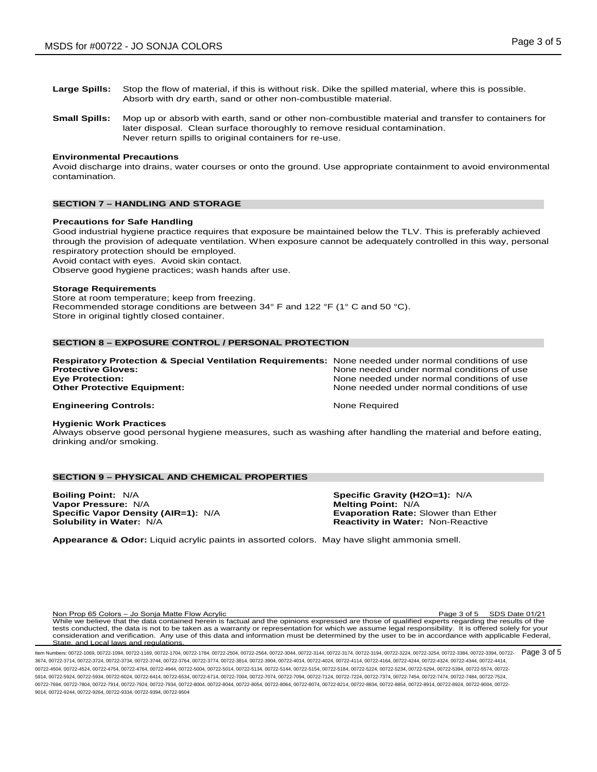- **Large Spills:** Stop the flow of material, if this is without risk. Dike the spilled material, where this is possible. Absorb with dry earth, sand or other non-combustible material.
- **Small Spills:** Mop up or absorb with earth, sand or other non-combustible material and transfer to containers for later disposal. Clean surface thoroughly to remove residual contamination. Never return spills to original containers for re-use.

#### **Environmental Precautions**

Avoid discharge into drains, water courses or onto the ground. Use appropriate containment to avoid environmental contamination.

# **SECTION 7 – HANDLING AND STORAGE**

#### **Precautions for Safe Handling**

Good industrial hygiene practice requires that exposure be maintained below the TLV. This is preferably achieved through the provision of adequate ventilation. When exposure cannot be adequately controlled in this way, personal respiratory protection should be employed.

Avoid contact with eyes. Avoid skin contact.

Observe good hygiene practices; wash hands after use.

#### **Storage Requirements**

Store at room temperature; keep from freezing. Recommended storage conditions are between 34° F and 122 °F (1° C and 50 °C). Store in original tightly closed container.

# **SECTION 8 – EXPOSURE CONTROL / PERSONAL PROTECTION**

| Respiratory Protection & Special Ventilation Requirements: None needed under normal conditions of use |                                                                                          |
|-------------------------------------------------------------------------------------------------------|------------------------------------------------------------------------------------------|
| <b>Protective Gloves:</b>                                                                             | None needed under normal conditions of use                                               |
| <b>Eve Protection:</b><br><b>Other Protective Equipment:</b>                                          | None needed under normal conditions of use<br>None needed under normal conditions of use |
| <b>Engineering Controls:</b>                                                                          | None Required                                                                            |

#### **Hygienic Work Practices**

Always observe good personal hygiene measures, such as washing after handling the material and before eating, drinking and/or smoking.

# **SECTION 9 – PHYSICAL AND CHEMICAL PROPERTIES**

**Boiling Point:** N/A **Specific Gravity (H2O=1):** N/A **Vapor Pressure:** N/A **Melting Point:** N/A **Melting Point:** N/A **Specific Vapor Density (AIR=1):** N/A **By Pressure:** Evaporation Rate: Slower than Ether **Specific Vapor Density (AIR=1): N/A Solubility in Water: N/A** 

**Reactivity in Water: Non-Reactive** 

**Appearance & Odor:** Liquid acrylic paints in assorted colors. May have slight ammonia smell.

Non Prop 65 Colors – Jo Sonja Matte Flow Acrylic Page 3 of 5 SDS Date 01/21 While we believe that the data contained herein is factual and the opinions expressed are those of qualified experts regarding the results of the tests conducted, the data is not to be taken as a warranty or representation for which we assume legal responsibility. It is offered solely for your consideration and verification. Any use of this data and information must be determined by the user to be in accordance with applicable Federal, State, and Local laws and regulations.

ltem Numbers: 00722-1069, 00722-1094, 00722-1169, 00722-1704, 00722-1784, 00722-2504, 00722-2564, 00722-3144, 00722-3144, 00722-3144, 00722-3124, 00722-3224, 00722-3254, 00722-3384, 00722-3384, 00722-3384, 00722-3384, 0072 3674, 00722-3714, 00722-3724, 00722-3734, 00722-3744, 00722-3764, 00722-3774, 00722-3814, 00722-3904, 00722-4014, 00722-4024, 00722-4114, 00722-4164, 00722-4244, 00722-4324, 00722-4344, 00722-4414, 00722-4504, 00722-4524, 00722-4754, 00722-4764, 00722-4944, 00722-5004, 00722-5014, 00722-5134, 00722-5144, 00722-5154, 00722-5184, 00722-5224, 00722-5234, 00722-5294, 00722-5394, 00722-5574, 00722- 5914, 00722-5924, 00722-5934, 00722-6024, 00722-6414, 00722-6534, 00722-6714, 00722-7004, 00722-7074, 00722-7094, 00722-7124, 00722-7224, 00722-7374, 00722-7454, 00722-7474, 00722-7484, 00722-7524, 00722-7694, 00722-7804, 00722-7914, 00722-7924, 00722-7934, 00722-8004, 00722-8044, 00722-8054, 00722-8064, 00722-8074, 00722-8214, 00722-8834, 00722-8854, 00722-8914, 00722-8924, 00722-9004, 00722- 9014, 00722-9244, 00722-9264, 00722-9334, 00722-9394, 00722-9504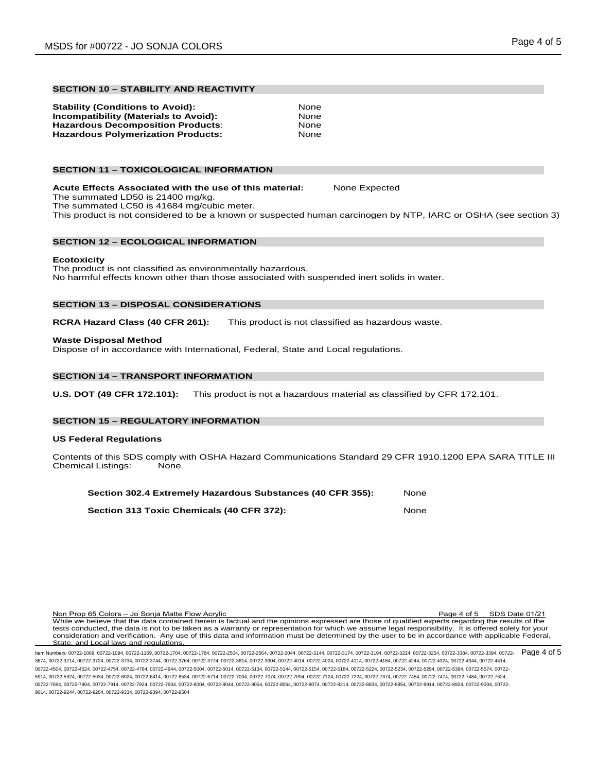# **SECTION 10 – STABILITY AND REACTIVITY**

| <b>Stability (Conditions to Avoid):</b>      | None |
|----------------------------------------------|------|
| <b>Incompatibility (Materials to Avoid):</b> | None |
| <b>Hazardous Decomposition Products:</b>     | None |
| <b>Hazardous Polymerization Products:</b>    | None |

# **SECTION 11 – TOXICOLOGICAL INFORMATION**

**Acute Effects Associated with the use of this material:** None Expected The summated LD50 is 21400 mg/kg. The summated LC50 is 41684 mg/cubic meter. This product is not considered to be a known or suspected human carcinogen by NTP, IARC or OSHA (see section 3)

# **SECTION 12 – ECOLOGICAL INFORMATION**

# **Ecotoxicity**

The product is not classified as environmentally hazardous. No harmful effects known other than those associated with suspended inert solids in water.

# **SECTION 13 – DISPOSAL CONSIDERATIONS**

**RCRA Hazard Class (40 CFR 261):** This product is not classified as hazardous waste.

#### **Waste Disposal Method**

Dispose of in accordance with International, Federal, State and Local regulations.

# **SECTION 14 – TRANSPORT INFORMATION**

**U.S. DOT (49 CFR 172.101):** This product is not a hazardous material as classified by CFR 172.101.

# **SECTION 15 – REGULATORY INFORMATION**

#### **US Federal Regulations**

Contents of this SDS comply with OSHA Hazard Communications Standard 29 CFR 1910.1200 EPA SARA TITLE III<br>Chemical Listings: None Chemical Listings:

| Section 302.4 Extremely Hazardous Substances (40 CFR 355): | None |
|------------------------------------------------------------|------|
| Section 313 Toxic Chemicals (40 CFR 372):                  | None |

Non Prop 65 Colors – Jo Sonja Matte Flow Acrylic Page 4 of 5 SDS Date 01/21 While we believe that the data contained herein is factual and the opinions expressed are those of qualified experts regarding the results of the tests conducted, the data is not to be taken as a warranty or representation for which we assume legal responsibility. It is offered solely for your consideration and verification. Any use of this data and information must be determined by the user to be in accordance with applicable Federal, State, and Local laws and regulations.

ltem Numbers: 00722-1069, 00722-1094, 00722-1169, 00722-1704, 00722-1784, 00722-2504, 00722-2564, 00722-3144, 00722-3144, 00722-3144, 00722-3194, 00722-3224, 00722-3254, 00722-3384, 00722-3384, 00722-3384, 00722-3384, 0072 3674, 00722-3714, 00722-3724, 00722-3734, 00722-3744, 00722-3764, 00722-3774, 00722-3814, 00722-3904, 00722-4014, 00722-4024, 00722-4114, 00722-4164, 00722-4244, 00722-4324, 00722-4344, 00722-4414, 00722-4504, 00722-4524, 00722-4754, 00722-4764, 00722-4944, 00722-5004, 00722-5014, 00722-5134, 00722-5144, 00722-5154, 00722-5184, 00722-5224, 00722-5234, 00722-5294, 00722-5394, 00722-5574, 00722- 5914, 00722-5924, 00722-5934, 00722-6024, 00722-6414, 00722-6534, 00722-6714, 00722-7004, 00722-7074, 00722-7094, 00722-7124, 00722-7224, 00722-7374, 00722-7454, 00722-7474, 00722-7484, 00722-7524, 00722-7694, 00722-7804, 00722-7914, 00722-7924, 00722-7934, 00722-8004, 00722-8044, 00722-8054, 00722-8064, 00722-8074, 00722-8214, 00722-8834, 00722-8854, 00722-8914, 00722-8924, 00722-9004, 00722- 9014, 00722-9244, 00722-9264, 00722-9334, 00722-9394, 00722-9504